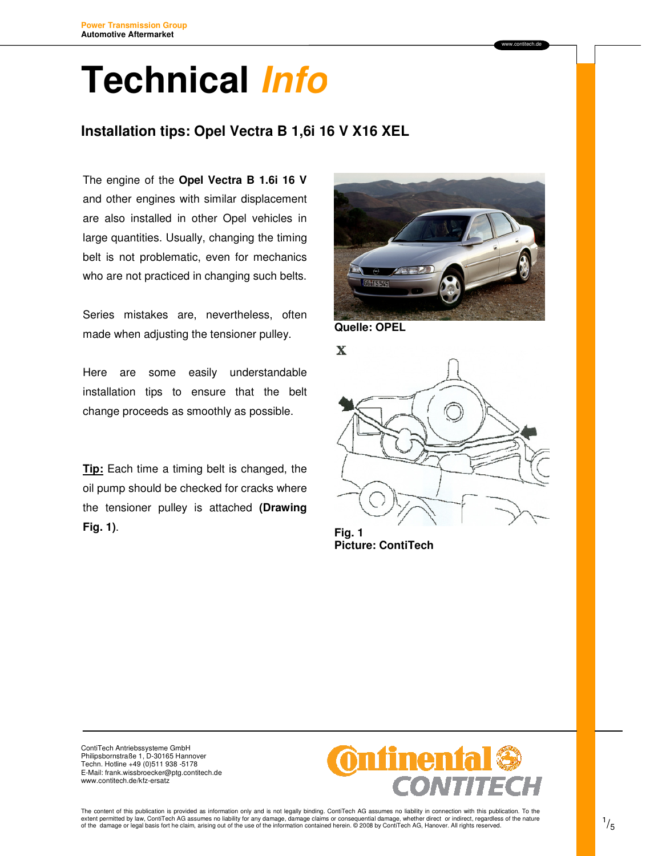#### **Installation tips: Opel Vectra B 1,6i 16 V X16 XEL** l,

The engine of the **Opel Vectra B 1.6i 16 V**  and other engines with similar displacement are also installed in other Opel vehicles in large quantities. Usually, changing the timing belt is not problematic, even for mechanics who are not practiced in changing such belts.

Series mistakes are, nevertheless, often made when adjusting the tensioner pulley.

Here are some easily understandable installation tips to ensure that the belt change proceeds as smoothly as possible.

**Tip:** Each time a timing belt is changed, the oil pump should be checked for cracks where the tensioner pulley is attached **(Drawing Fig. 1)**.





**Picture: ContiTech**

ContiTech Antriebssysteme GmbH Philipsbornstraße 1, D-30165 Hannover Techn. Hotline +49 (0)511 938 -5178 E-Mail: frank.wissbroecker@ptg.contitech.de www.contitech.de/kfz-ersatz

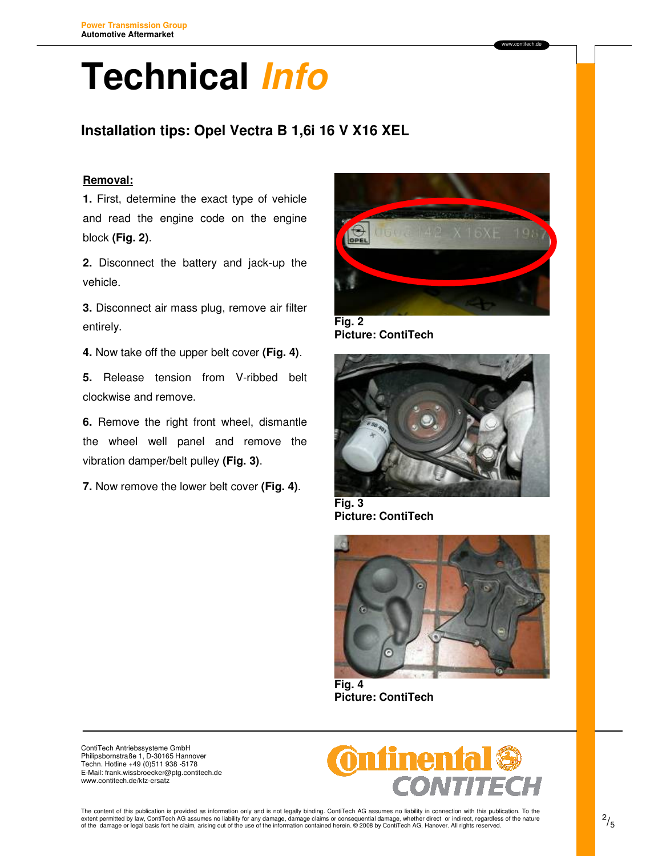## **Installation tips: Opel Vectra B 1,6i 16 V X16 XEL**

### **Removal:**

**1.** First, determine the exact type of vehicle and read the engine code on the engine block **(Fig. 2)**.

**2.** Disconnect the battery and jack-up the vehicle.

**3.** Disconnect air mass plug, remove air filter entirely.

**4.** Now take off the upper belt cover **(Fig. 4)**.

**5.** Release tension from V-ribbed belt clockwise and remove.

**6.** Remove the right front wheel, dismantle the wheel well panel and remove the vibration damper/belt pulley **(Fig. 3)**.

**7.** Now remove the lower belt cover **(Fig. 4)**.



**Picture: ContiTech** 



**Fig. 3 Picture: ContiTech** 



**Fig. 4 Picture: ContiTech**



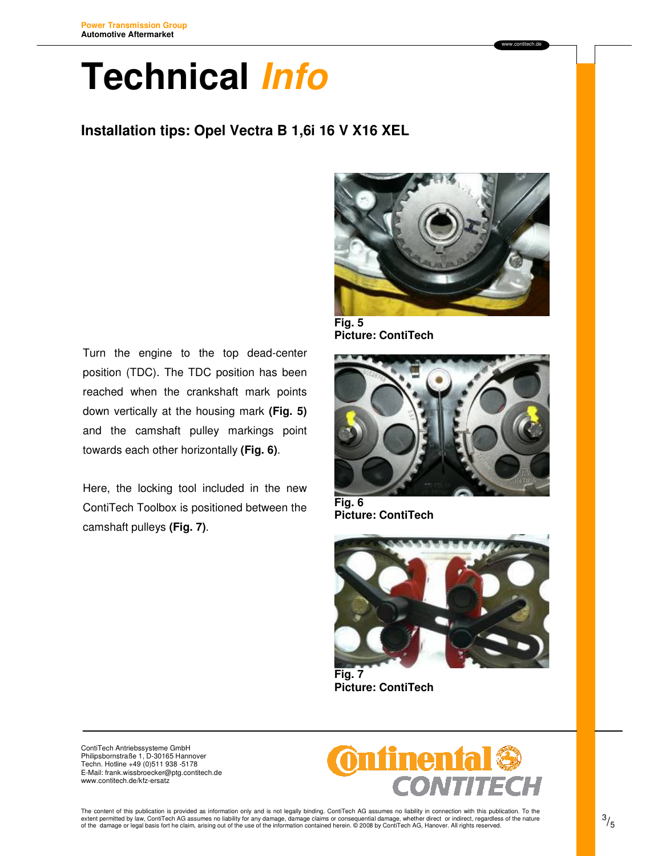### **Installation tips: Opel Vectra B 1,6i 16 V X16 XEL**



**Fig. 5 Picture: ContiTech** 

Turn the engine to the top dead-center position (TDC). The TDC position has been reached when the crankshaft mark points down vertically at the housing mark **(Fig. 5)**  and the camshaft pulley markings point towards each other horizontally **(Fig. 6)**.

Here, the locking tool included in the new ContiTech Toolbox is positioned between the camshaft pulleys **(Fig. 7)**.



**Fig. 6 Picture: ContiTech** 



**Picture: ContiTech**

ContiTech Antriebssysteme GmbH Philipsbornstraße 1, D-30165 Hannover Techn. Hotline +49 (0)511 938 -5178 E-Mail: frank.wissbroecker@ptg.contitech.de www.contitech.de/kfz-ersatz

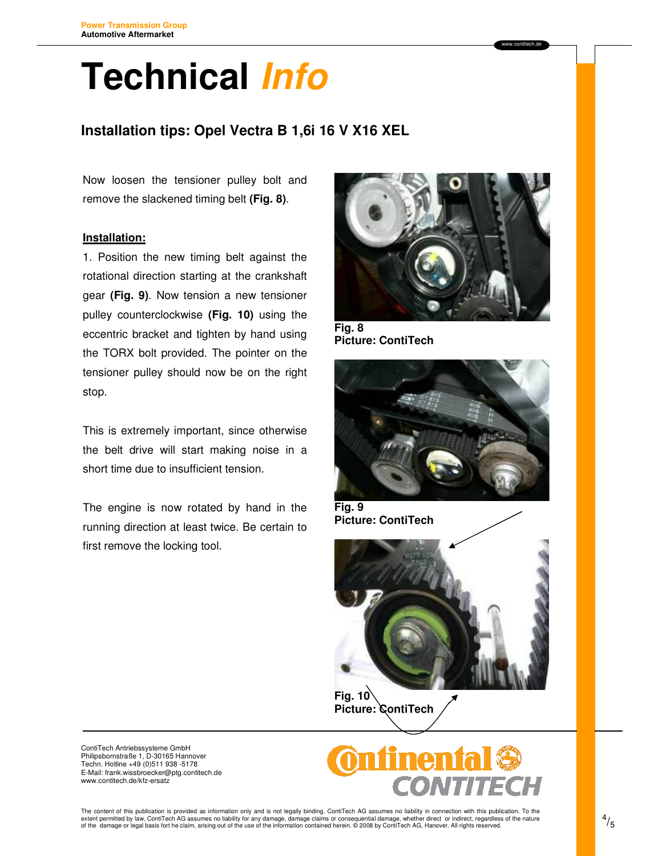### **Installation tips: Opel Vectra B 1,6i 16 V X16 XEL**

Now loosen the tensioner pulley bolt and remove the slackened timing belt **(Fig. 8)**.

### **Installation:**

1. Position the new timing belt against the rotational direction starting at the crankshaft gear **(Fig. 9)**. Now tension a new tensioner pulley counterclockwise **(Fig. 10)** using the eccentric bracket and tighten by hand using the TORX bolt provided. The pointer on the tensioner pulley should now be on the right stop.

This is extremely important, since otherwise the belt drive will start making noise in a short time due to insufficient tension.

The engine is now rotated by hand in the running direction at least twice. Be certain to first remove the locking tool.



**Fig. 8 Picture: ContiTech** 



**Fig. 9 Picture: ContiTech** 



 $Fig. 10<sup>6</sup>$ **Picture: ContiTech**



ContiTech Antriebssysteme GmbH Philipsbornstraße 1, D-30165 Hannover Techn. Hotline +49 (0)511 938 -5178 E-Mail: frank.wissbroecker@ptg.contitech.de www.contitech.de/kfz-ersatz